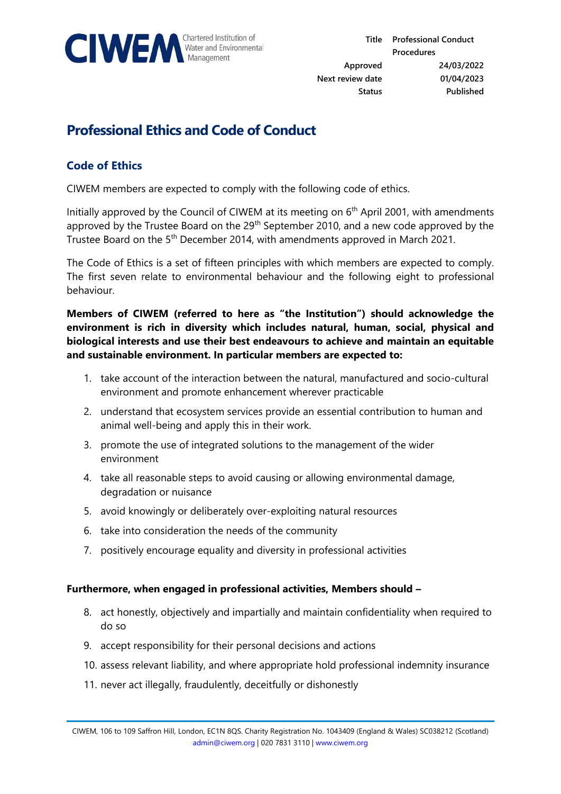

## **Professional Ethics and Code of Conduct**

## **Code of Ethics**

CIWEM members are expected to comply with the following code of ethics.

Initially approved by the Council of CIWEM at its meeting on 6<sup>th</sup> April 2001, with amendments approved by the Trustee Board on the 29<sup>th</sup> September 2010, and a new code approved by the Trustee Board on the 5<sup>th</sup> December 2014, with amendments approved in March 2021.

The Code of Ethics is a set of fifteen principles with which members are expected to comply. The first seven relate to environmental behaviour and the following eight to professional behaviour.

**Members of CIWEM (referred to here as "the Institution") should acknowledge the environment is rich in diversity which includes natural, human, social, physical and biological interests and use their best endeavours to achieve and maintain an equitable and sustainable environment. In particular members are expected to:** 

- 1. take account of the interaction between the natural, manufactured and socio-cultural environment and promote enhancement wherever practicable
- 2. understand that ecosystem services provide an essential contribution to human and animal well-being and apply this in their work.
- 3. promote the use of integrated solutions to the management of the wider environment
- 4. take all reasonable steps to avoid causing or allowing environmental damage, degradation or nuisance
- 5. avoid knowingly or deliberately over-exploiting natural resources
- 6. take into consideration the needs of the community
- 7. positively encourage equality and diversity in professional activities

## **Furthermore, when engaged in professional activities, Members should –**

- 8. act honestly, objectively and impartially and maintain confidentiality when required to do so
- 9. accept responsibility for their personal decisions and actions
- 10. assess relevant liability, and where appropriate hold professional indemnity insurance
- 11. never act illegally, fraudulently, deceitfully or dishonestly